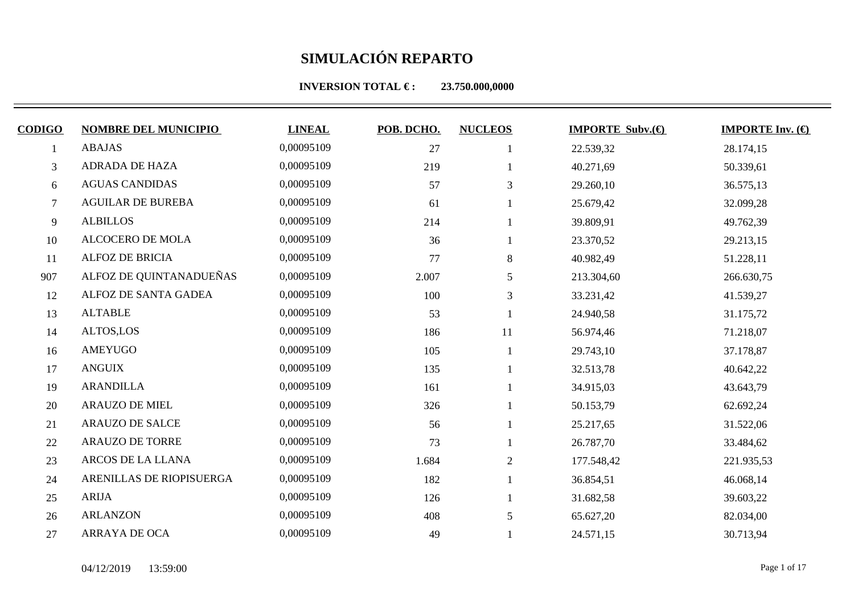| <b>CODIGO</b> | <b>NOMBRE DEL MUNICIPIO</b> | <b>LINEAL</b> | POB. DCHO. | <b>NUCLEOS</b> | <b>IMPORTE Subv. <math>\bigoplus</math></b> | <b>IMPORTE Inv.</b> $(\bigoplus$ |
|---------------|-----------------------------|---------------|------------|----------------|---------------------------------------------|----------------------------------|
|               | <b>ABAJAS</b>               | 0,00095109    | 27         |                |                                             |                                  |
|               |                             |               |            |                | 22.539,32                                   | 28.174,15                        |
| 3             | ADRADA DE HAZA              | 0,00095109    | 219        |                | 40.271,69                                   | 50.339,61                        |
| 6             | <b>AGUAS CANDIDAS</b>       | 0,00095109    | 57         | 3              | 29.260,10                                   | 36.575,13                        |
| $\tau$        | <b>AGUILAR DE BUREBA</b>    | 0,00095109    | 61         |                | 25.679,42                                   | 32.099,28                        |
| 9             | <b>ALBILLOS</b>             | 0,00095109    | 214        |                | 39.809,91                                   | 49.762,39                        |
| 10            | <b>ALCOCERO DE MOLA</b>     | 0,00095109    | 36         |                | 23.370,52                                   | 29.213,15                        |
| 11            | ALFOZ DE BRICIA             | 0,00095109    | 77         | 8              | 40.982,49                                   | 51.228,11                        |
| 907           | ALFOZ DE QUINTANADUEÑAS     | 0,00095109    | 2.007      | 5              | 213.304,60                                  | 266.630,75                       |
| 12            | ALFOZ DE SANTA GADEA        | 0,00095109    | 100        | 3              | 33.231,42                                   | 41.539,27                        |
| 13            | <b>ALTABLE</b>              | 0,00095109    | 53         |                | 24.940,58                                   | 31.175,72                        |
| 14            | ALTOS,LOS                   | 0,00095109    | 186        | 11             | 56.974,46                                   | 71.218,07                        |
| 16            | AMEYUGO                     | 0,00095109    | 105        |                | 29.743,10                                   | 37.178,87                        |
| 17            | <b>ANGUIX</b>               | 0,00095109    | 135        |                | 32.513,78                                   | 40.642,22                        |
| 19            | <b>ARANDILLA</b>            | 0,00095109    | 161        |                | 34.915,03                                   | 43.643,79                        |
| 20            | <b>ARAUZO DE MIEL</b>       | 0,00095109    | 326        |                | 50.153,79                                   | 62.692,24                        |
| 21            | <b>ARAUZO DE SALCE</b>      | 0,00095109    | 56         |                | 25.217,65                                   | 31.522,06                        |
| 22            | <b>ARAUZO DE TORRE</b>      | 0,00095109    | 73         |                | 26.787,70                                   | 33.484,62                        |
| 23            | ARCOS DE LA LLANA           | 0,00095109    | 1.684      | $\overline{2}$ | 177.548,42                                  | 221.935,53                       |
| 24            | ARENILLAS DE RIOPISUERGA    | 0,00095109    | 182        |                | 36.854,51                                   | 46.068,14                        |
| 25            | <b>ARIJA</b>                | 0,00095109    | 126        |                | 31.682,58                                   | 39.603,22                        |
| 26            | <b>ARLANZON</b>             | 0,00095109    | 408        | 5              | 65.627,20                                   | 82.034,00                        |
| 27            | ARRAYA DE OCA               | 0,00095109    | 49         |                | 24.571,15                                   | 30.713,94                        |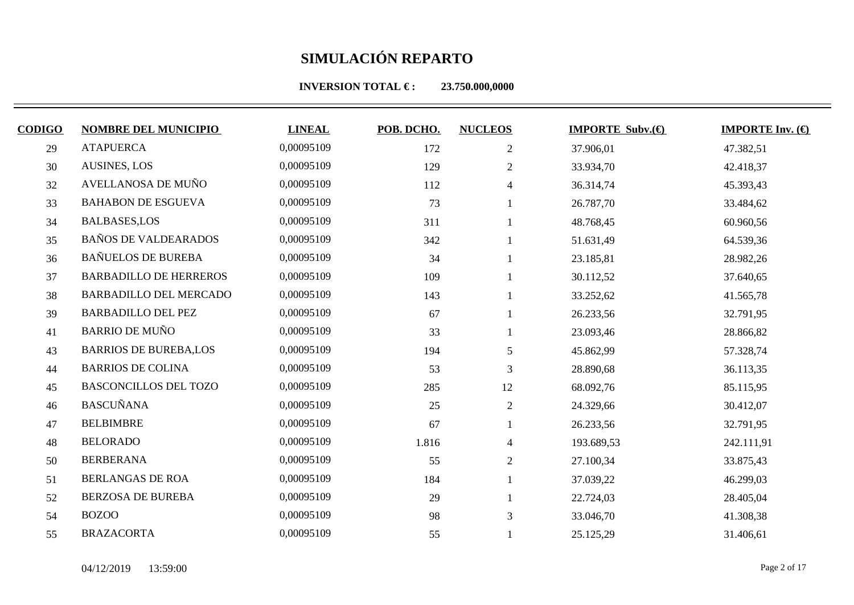| <b>CODIGO</b> | <b>NOMBRE DEL MUNICIPIO</b>   | <b>LINEAL</b> | POB. DCHO. | <b>NUCLEOS</b> | <b>IMPORTE Subv. <math>\bigoplus</math></b> | <b>IMPORTE Inv.</b> $(\bigoplus$ |
|---------------|-------------------------------|---------------|------------|----------------|---------------------------------------------|----------------------------------|
| 29            | <b>ATAPUERCA</b>              | 0,00095109    | 172        | $\overline{2}$ | 37.906,01                                   | 47.382,51                        |
| 30            | <b>AUSINES, LOS</b>           | 0,00095109    | 129        | $\overline{2}$ | 33.934,70                                   | 42.418,37                        |
| 32            | AVELLANOSA DE MUÑO            | 0,00095109    | 112        | $\overline{4}$ | 36.314,74                                   | 45.393,43                        |
| 33            | <b>BAHABON DE ESGUEVA</b>     | 0,00095109    | 73         |                | 26.787,70                                   | 33.484,62                        |
| 34            | <b>BALBASES,LOS</b>           | 0,00095109    | 311        |                | 48.768,45                                   | 60.960,56                        |
| 35            | <b>BAÑOS DE VALDEARADOS</b>   | 0,00095109    | 342        |                | 51.631,49                                   | 64.539,36                        |
| 36            | <b>BAÑUELOS DE BUREBA</b>     | 0,00095109    | 34         |                | 23.185,81                                   | 28.982,26                        |
| 37            | <b>BARBADILLO DE HERREROS</b> | 0,00095109    | 109        |                | 30.112,52                                   | 37.640,65                        |
| 38            | <b>BARBADILLO DEL MERCADO</b> | 0,00095109    | 143        |                | 33.252,62                                   | 41.565,78                        |
| 39            | <b>BARBADILLO DEL PEZ</b>     | 0,00095109    | 67         |                | 26.233,56                                   | 32.791,95                        |
| 41            | <b>BARRIO DE MUÑO</b>         | 0,00095109    | 33         |                | 23.093,46                                   | 28.866,82                        |
| 43            | <b>BARRIOS DE BUREBA,LOS</b>  | 0,00095109    | 194        | 5              | 45.862,99                                   | 57.328,74                        |
| 44            | <b>BARRIOS DE COLINA</b>      | 0,00095109    | 53         | 3              | 28.890,68                                   | 36.113,35                        |
| 45            | <b>BASCONCILLOS DEL TOZO</b>  | 0,00095109    | 285        | 12             | 68.092,76                                   | 85.115,95                        |
| 46            | <b>BASCUÑANA</b>              | 0,00095109    | 25         | $\overline{2}$ | 24.329,66                                   | 30.412,07                        |
| 47            | <b>BELBIMBRE</b>              | 0,00095109    | 67         |                | 26.233,56                                   | 32.791,95                        |
| 48            | <b>BELORADO</b>               | 0,00095109    | 1.816      | 4              | 193.689,53                                  | 242.111,91                       |
| 50            | <b>BERBERANA</b>              | 0,00095109    | 55         | $\overline{2}$ | 27.100,34                                   | 33.875,43                        |
| 51            | <b>BERLANGAS DE ROA</b>       | 0,00095109    | 184        |                | 37.039,22                                   | 46.299,03                        |
| 52            | <b>BERZOSA DE BUREBA</b>      | 0,00095109    | 29         |                | 22.724,03                                   | 28.405,04                        |
| 54            | <b>BOZOO</b>                  | 0,00095109    | 98         | 3              | 33.046,70                                   | 41.308,38                        |
| 55            | <b>BRAZACORTA</b>             | 0,00095109    | 55         |                | 25.125,29                                   | 31.406,61                        |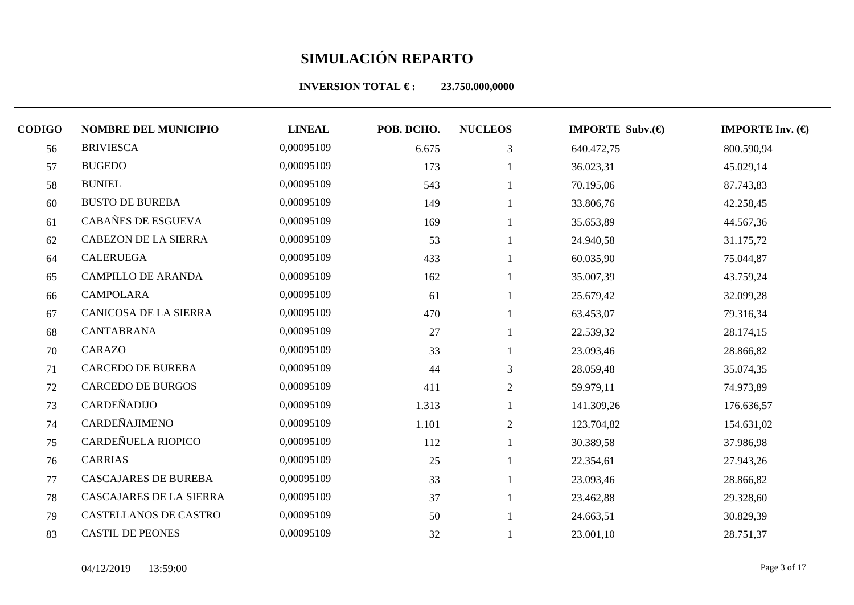| <b>CODIGO</b> | <b>NOMBRE DEL MUNICIPIO</b>    | <b>LINEAL</b> | POB. DCHO. | <b>NUCLEOS</b> | <b>IMPORTE Subv.</b> $\bigoplus$ | <b>IMPORTE Inv.</b> $(\theta)$ |
|---------------|--------------------------------|---------------|------------|----------------|----------------------------------|--------------------------------|
| 56            | <b>BRIVIESCA</b>               | 0,00095109    | 6.675      | 3              | 640.472,75                       | 800.590,94                     |
| 57            | <b>BUGEDO</b>                  | 0,00095109    | 173        |                | 36.023,31                        | 45.029,14                      |
| 58            | <b>BUNIEL</b>                  | 0,00095109    | 543        |                | 70.195,06                        | 87.743,83                      |
| 60            | <b>BUSTO DE BUREBA</b>         | 0,00095109    | 149        |                | 33.806,76                        | 42.258,45                      |
| 61            | CABAÑES DE ESGUEVA             | 0,00095109    | 169        |                | 35.653,89                        | 44.567,36                      |
| 62            | <b>CABEZON DE LA SIERRA</b>    | 0,00095109    | 53         |                | 24.940,58                        | 31.175,72                      |
| 64            | <b>CALERUEGA</b>               | 0,00095109    | 433        |                | 60.035,90                        | 75.044,87                      |
| 65            | <b>CAMPILLO DE ARANDA</b>      | 0,00095109    | 162        |                | 35.007,39                        | 43.759,24                      |
| 66            | <b>CAMPOLARA</b>               | 0,00095109    | 61         |                | 25.679,42                        | 32.099,28                      |
| 67            | CANICOSA DE LA SIERRA          | 0,00095109    | 470        |                | 63.453,07                        | 79.316,34                      |
| 68            | <b>CANTABRANA</b>              | 0,00095109    | 27         |                | 22.539,32                        | 28.174,15                      |
| 70            | CARAZO                         | 0,00095109    | 33         |                | 23.093,46                        | 28.866,82                      |
| 71            | <b>CARCEDO DE BUREBA</b>       | 0,00095109    | 44         | 3              | 28.059,48                        | 35.074,35                      |
| 72            | <b>CARCEDO DE BURGOS</b>       | 0,00095109    | 411        | 2              | 59.979,11                        | 74.973,89                      |
| 73            | CARDEÑADIJO                    | 0,00095109    | 1.313      |                | 141.309,26                       | 176.636,57                     |
| 74            | <b>CARDEÑAJIMENO</b>           | 0,00095109    | 1.101      | $\overline{2}$ | 123.704,82                       | 154.631,02                     |
| 75            | CARDEÑUELA RIOPICO             | 0,00095109    | 112        |                | 30.389,58                        | 37.986,98                      |
| 76            | <b>CARRIAS</b>                 | 0,00095109    | 25         |                | 22.354,61                        | 27.943,26                      |
| 77            | <b>CASCAJARES DE BUREBA</b>    | 0,00095109    | 33         |                | 23.093,46                        | 28.866,82                      |
| 78            | <b>CASCAJARES DE LA SIERRA</b> | 0,00095109    | 37         |                | 23.462,88                        | 29.328,60                      |
| 79            | CASTELLANOS DE CASTRO          | 0,00095109    | 50         |                | 24.663,51                        | 30.829,39                      |
| 83            | <b>CASTIL DE PEONES</b>        | 0,00095109    | 32         |                | 23.001,10                        | 28.751,37                      |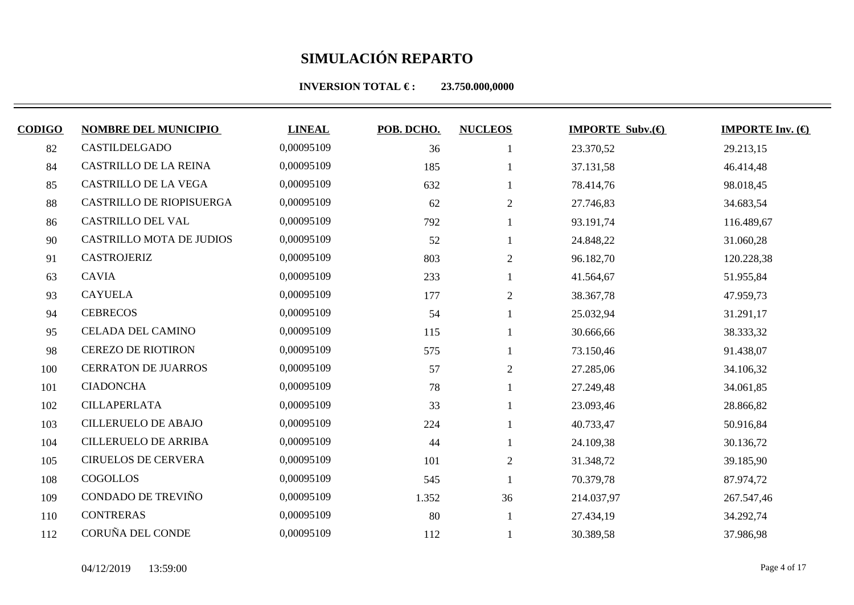**INVERSION TOTAL €: 23.750.000,0000** 

| <b>CODIGO</b> | <b>NOMBRE DEL MUNICIPIO</b>     | <b>LINEAL</b> | POB. DCHO. | <b>NUCLEOS</b> | <b>IMPORTE Subv.</b> $\bigoplus$ | <b>IMPORTE Inv.</b> $(\theta)$ |
|---------------|---------------------------------|---------------|------------|----------------|----------------------------------|--------------------------------|
| 82            | CASTILDELGADO                   | 0,00095109    | 36         |                | 23.370,52                        | 29.213,15                      |
| 84            | <b>CASTRILLO DE LA REINA</b>    | 0,00095109    | 185        |                | 37.131,58                        | 46.414,48                      |
| 85            | <b>CASTRILLO DE LA VEGA</b>     | 0,00095109    | 632        |                | 78.414,76                        | 98.018,45                      |
| 88            | CASTRILLO DE RIOPISUERGA        | 0,00095109    | 62         | $\overline{2}$ | 27.746,83                        | 34.683,54                      |
| 86            | CASTRILLO DEL VAL               | 0,00095109    | 792        |                | 93.191,74                        | 116.489,67                     |
| 90            | <b>CASTRILLO MOTA DE JUDIOS</b> | 0,00095109    | 52         |                | 24.848,22                        | 31.060,28                      |
| 91            | <b>CASTROJERIZ</b>              | 0,00095109    | 803        | $\overline{2}$ | 96.182,70                        | 120.228,38                     |
| 63            | <b>CAVIA</b>                    | 0,00095109    | 233        |                | 41.564,67                        | 51.955,84                      |
| 93            | <b>CAYUELA</b>                  | 0,00095109    | 177        | $\overline{2}$ | 38.367,78                        | 47.959,73                      |
| 94            | <b>CEBRECOS</b>                 | 0,00095109    | 54         |                | 25.032,94                        | 31.291,17                      |
| 95            | <b>CELADA DEL CAMINO</b>        | 0,00095109    | 115        |                | 30.666,66                        | 38.333,32                      |
| 98            | <b>CEREZO DE RIOTIRON</b>       | 0,00095109    | 575        |                | 73.150,46                        | 91.438,07                      |
| 100           | <b>CERRATON DE JUARROS</b>      | 0,00095109    | 57         | 2              | 27.285,06                        | 34.106,32                      |
| 101           | <b>CIADONCHA</b>                | 0,00095109    | 78         |                | 27.249,48                        | 34.061,85                      |
| 102           | <b>CILLAPERLATA</b>             | 0,00095109    | 33         |                | 23.093,46                        | 28.866,82                      |
| 103           | <b>CILLERUELO DE ABAJO</b>      | 0,00095109    | 224        |                | 40.733,47                        | 50.916,84                      |
| 104           | <b>CILLERUELO DE ARRIBA</b>     | 0,00095109    | 44         |                | 24.109,38                        | 30.136,72                      |
| 105           | <b>CIRUELOS DE CERVERA</b>      | 0,00095109    | 101        | $\mathbf{2}$   | 31.348,72                        | 39.185,90                      |
| 108           | COGOLLOS                        | 0,00095109    | 545        |                | 70.379,78                        | 87.974,72                      |
| 109           | CONDADO DE TREVIÑO              | 0,00095109    | 1.352      | 36             | 214.037,97                       | 267.547,46                     |
| 110           | <b>CONTRERAS</b>                | 0,00095109    | 80         |                | 27.434,19                        | 34.292,74                      |

112 CORUÑA DEL CONDE 0,00095109 112 1 30.389,58 37.986,98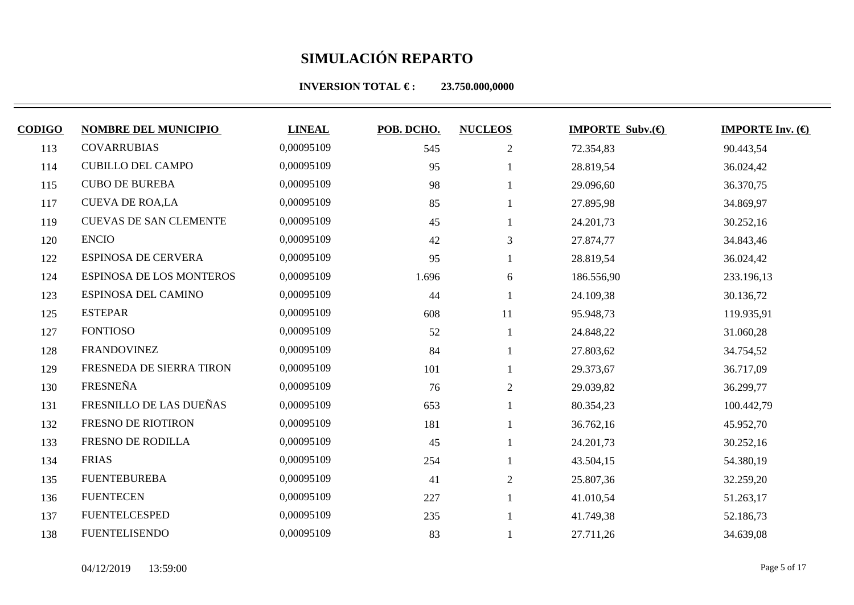**INVERSION TOTAL €: 23.750.000,0000** 

| <b>CODIGO</b> | <b>NOMBRE DEL MUNICIPIO</b>     | <b>LINEAL</b> | POB. DCHO. | <b>NUCLEOS</b> | <b>IMPORTE Subv. <math>\bigoplus</math></b> | <b>IMPORTE Inv.</b> $(\bigoplus$ |
|---------------|---------------------------------|---------------|------------|----------------|---------------------------------------------|----------------------------------|
| 113           | <b>COVARRUBIAS</b>              | 0,00095109    | 545        | $\overline{2}$ | 72.354,83                                   | 90.443,54                        |
| 114           | <b>CUBILLO DEL CAMPO</b>        | 0,00095109    | 95         |                | 28.819,54                                   | 36.024,42                        |
| 115           | <b>CUBO DE BUREBA</b>           | 0,00095109    | 98         |                | 29.096,60                                   | 36.370,75                        |
| 117           | <b>CUEVA DE ROA,LA</b>          | 0,00095109    | 85         |                | 27.895,98                                   | 34.869,97                        |
| 119           | <b>CUEVAS DE SAN CLEMENTE</b>   | 0,00095109    | 45         |                | 24.201,73                                   | 30.252,16                        |
| 120           | <b>ENCIO</b>                    | 0,00095109    | 42         | 3              | 27.874,77                                   | 34.843,46                        |
| 122           | <b>ESPINOSA DE CERVERA</b>      | 0,00095109    | 95         |                | 28.819,54                                   | 36.024,42                        |
| 124           | <b>ESPINOSA DE LOS MONTEROS</b> | 0,00095109    | 1.696      | 6              | 186.556,90                                  | 233.196,13                       |
| 123           | ESPINOSA DEL CAMINO             | 0,00095109    | 44         |                | 24.109,38                                   | 30.136,72                        |
| 125           | <b>ESTEPAR</b>                  | 0,00095109    | 608        | 11             | 95.948,73                                   | 119.935,91                       |
| 127           | <b>FONTIOSO</b>                 | 0,00095109    | 52         |                | 24.848,22                                   | 31.060,28                        |
| 128           | <b>FRANDOVINEZ</b>              | 0,00095109    | 84         |                | 27.803,62                                   | 34.754,52                        |
| 129           | FRESNEDA DE SIERRA TIRON        | 0,00095109    | 101        |                | 29.373,67                                   | 36.717,09                        |
| 130           | FRESNEÑA                        | 0,00095109    | 76         | $\overline{2}$ | 29.039,82                                   | 36.299,77                        |
| 131           | FRESNILLO DE LAS DUEÑAS         | 0,00095109    | 653        |                | 80.354,23                                   | 100.442,79                       |
| 132           | FRESNO DE RIOTIRON              | 0,00095109    | 181        |                | 36.762,16                                   | 45.952,70                        |
| 133           | <b>FRESNO DE RODILLA</b>        | 0,00095109    | 45         |                | 24.201,73                                   | 30.252,16                        |
| 134           | <b>FRIAS</b>                    | 0,00095109    | 254        |                | 43.504,15                                   | 54.380,19                        |

 FUENTEBUREBA 0,00095109 41 2 25.807,36 32.259,20 136 FUENTECEN 0,00095109 227 1 41.010,54 51.263,17 137 FUENTELCESPED 0,00095109 235 1 41.749,38 52.186,73 138 FUENTELISENDO 0,00095109 83 1 27.711,26 34.639,08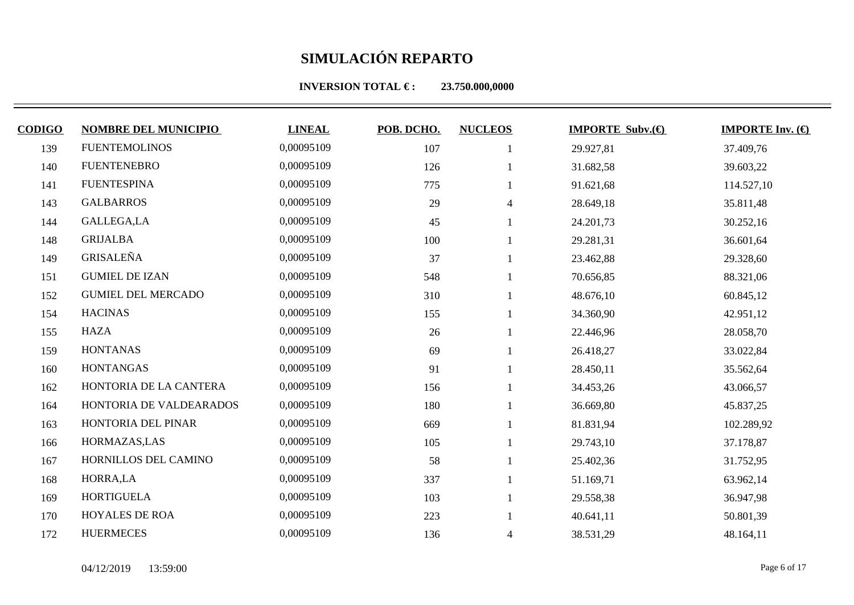| <b>CODIGO</b> | <b>NOMBRE DEL MUNICIPIO</b> | <b>LINEAL</b> | POB. DCHO. | <b>NUCLEOS</b> | <b>IMPORTE Subv.</b> $(\theta)$ | <b>IMPORTE Inv.</b> $(\bigoplus$ |
|---------------|-----------------------------|---------------|------------|----------------|---------------------------------|----------------------------------|
| 139           | <b>FUENTEMOLINOS</b>        | 0,00095109    | 107        |                | 29.927,81                       | 37.409,76                        |
| 140           | <b>FUENTENEBRO</b>          | 0,00095109    | 126        |                | 31.682,58                       | 39.603,22                        |
| 141           | <b>FUENTESPINA</b>          | 0,00095109    | 775        |                | 91.621,68                       | 114.527,10                       |
| 143           | <b>GALBARROS</b>            | 0,00095109    | 29         | $\overline{4}$ | 28.649,18                       | 35.811,48                        |
| 144           | GALLEGA,LA                  | 0,00095109    | 45         |                | 24.201,73                       | 30.252,16                        |
| 148           | <b>GRIJALBA</b>             | 0,00095109    | 100        |                | 29.281,31                       | 36.601,64                        |
| 149           | GRISALEÑA                   | 0,00095109    | 37         |                | 23.462,88                       | 29.328,60                        |
| 151           | <b>GUMIEL DE IZAN</b>       | 0,00095109    | 548        |                | 70.656,85                       | 88.321,06                        |
| 152           | <b>GUMIEL DEL MERCADO</b>   | 0,00095109    | 310        |                | 48.676,10                       | 60.845,12                        |
| 154           | <b>HACINAS</b>              | 0,00095109    | 155        |                | 34.360,90                       | 42.951,12                        |
| 155           | <b>HAZA</b>                 | 0,00095109    | 26         |                | 22.446,96                       | 28.058,70                        |

| 151 | <b>GUMIEL DE IZAN</b>     | 0,00095109 | 548 |                | 70.656,85 | 88.321,06  |
|-----|---------------------------|------------|-----|----------------|-----------|------------|
| 152 | <b>GUMIEL DEL MERCADO</b> | 0,00095109 | 310 |                | 48.676,10 | 60.845,12  |
| 154 | <b>HACINAS</b>            | 0,00095109 | 155 |                | 34.360,90 | 42.951,12  |
| 155 | HAZA                      | 0,00095109 | 26  |                | 22.446,96 | 28.058,70  |
| 159 | <b>HONTANAS</b>           | 0,00095109 | 69  |                | 26.418,27 | 33.022,84  |
| 160 | <b>HONTANGAS</b>          | 0,00095109 | 91  |                | 28.450,11 | 35.562,64  |
| 162 | HONTORIA DE LA CANTERA    | 0,00095109 | 156 |                | 34.453,26 | 43.066,57  |
| 164 | HONTORIA DE VALDEARADOS   | 0,00095109 | 180 |                | 36.669,80 | 45.837,25  |
| 163 | HONTORIA DEL PINAR        | 0,00095109 | 669 |                | 81.831,94 | 102.289,92 |
| 166 | HORMAZAS, LAS             | 0,00095109 | 105 |                | 29.743,10 | 37.178,87  |
| 167 | HORNILLOS DEL CAMINO      | 0,00095109 | 58  |                | 25.402,36 | 31.752,95  |
| 168 | HORRA, LA                 | 0,00095109 | 337 |                | 51.169,71 | 63.962,14  |
| 169 | HORTIGUELA                | 0,00095109 | 103 |                | 29.558,38 | 36.947,98  |
| 170 | <b>HOYALES DE ROA</b>     | 0,00095109 | 223 |                | 40.641,11 | 50.801,39  |
| 172 | <b>HUERMECES</b>          | 0,00095109 | 136 | $\overline{4}$ | 38.531,29 | 48.164,11  |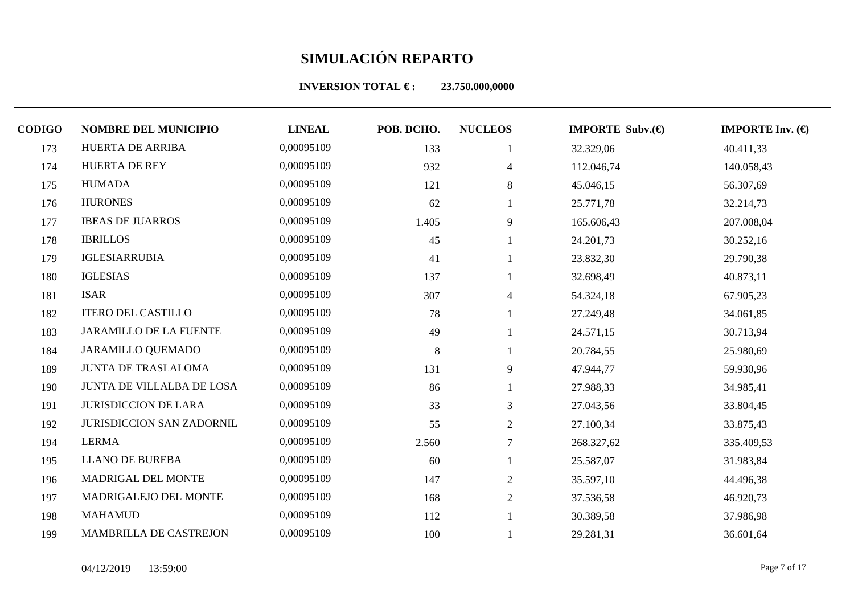| <b>CODIGO</b> | <b>NOMBRE DEL MUNICIPIO</b>      | <b>LINEAL</b> | POB. DCHO. | <b>NUCLEOS</b> | <b>IMPORTE Subv.</b> $\bigoplus$ | <b>IMPORTE Inv.</b> $(\bigoplus$ |
|---------------|----------------------------------|---------------|------------|----------------|----------------------------------|----------------------------------|
| 173           | HUERTA DE ARRIBA                 | 0,00095109    | 133        |                | 32.329,06                        | 40.411,33                        |
| 174           | <b>HUERTA DE REY</b>             | 0,00095109    | 932        | 4              | 112.046,74                       | 140.058,43                       |
| 175           | <b>HUMADA</b>                    | 0,00095109    | 121        | 8              | 45.046,15                        | 56.307,69                        |
| 176           | <b>HURONES</b>                   | 0,00095109    | 62         |                | 25.771,78                        | 32.214,73                        |
| 177           | <b>IBEAS DE JUARROS</b>          | 0,00095109    | 1.405      | 9              | 165.606,43                       | 207.008,04                       |
| 178           | <b>IBRILLOS</b>                  | 0,00095109    | 45         |                | 24.201,73                        | 30.252,16                        |
| 179           | <b>IGLESIARRUBIA</b>             | 0,00095109    | 41         |                | 23.832,30                        | 29.790,38                        |
| 180           | <b>IGLESIAS</b>                  | 0,00095109    | 137        |                | 32.698,49                        | 40.873,11                        |
| 181           | <b>ISAR</b>                      | 0,00095109    | 307        | 4              | 54.324,18                        | 67.905,23                        |
| 182           | <b>ITERO DEL CASTILLO</b>        | 0,00095109    | 78         |                | 27.249,48                        | 34.061,85                        |
| 183           | JARAMILLO DE LA FUENTE           | 0,00095109    | 49         |                | 24.571,15                        | 30.713,94                        |
| 184           | <b>JARAMILLO QUEMADO</b>         | 0,00095109    | $\,8\,$    |                | 20.784,55                        | 25.980,69                        |
| 189           | <b>JUNTA DE TRASLALOMA</b>       | 0,00095109    | 131        | 9              | 47.944,77                        | 59.930,96                        |
| 190           | JUNTA DE VILLALBA DE LOSA        | 0,00095109    | 86         |                | 27.988,33                        | 34.985,41                        |
| 191           | <b>JURISDICCION DE LARA</b>      | 0,00095109    | 33         | 3              | 27.043,56                        | 33.804,45                        |
| 192           | <b>JURISDICCION SAN ZADORNIL</b> | 0,00095109    | 55         | $\overline{2}$ | 27.100,34                        | 33.875,43                        |
| 194           | <b>LERMA</b>                     | 0,00095109    | 2.560      | $\overline{7}$ | 268.327,62                       | 335.409,53                       |
| 195           | <b>LLANO DE BUREBA</b>           | 0,00095109    | 60         |                | 25.587,07                        | 31.983,84                        |
| 196           | MADRIGAL DEL MONTE               | 0,00095109    | 147        | $\overline{2}$ | 35.597,10                        | 44.496,38                        |
| 197           | MADRIGALEJO DEL MONTE            | 0,00095109    | 168        | $\overline{2}$ | 37.536,58                        | 46.920,73                        |
| 198           | <b>MAHAMUD</b>                   | 0,00095109    | 112        |                | 30.389,58                        | 37.986,98                        |
| 199           | MAMBRILLA DE CASTREJON           | 0,00095109    | 100        |                | 29.281,31                        | 36.601,64                        |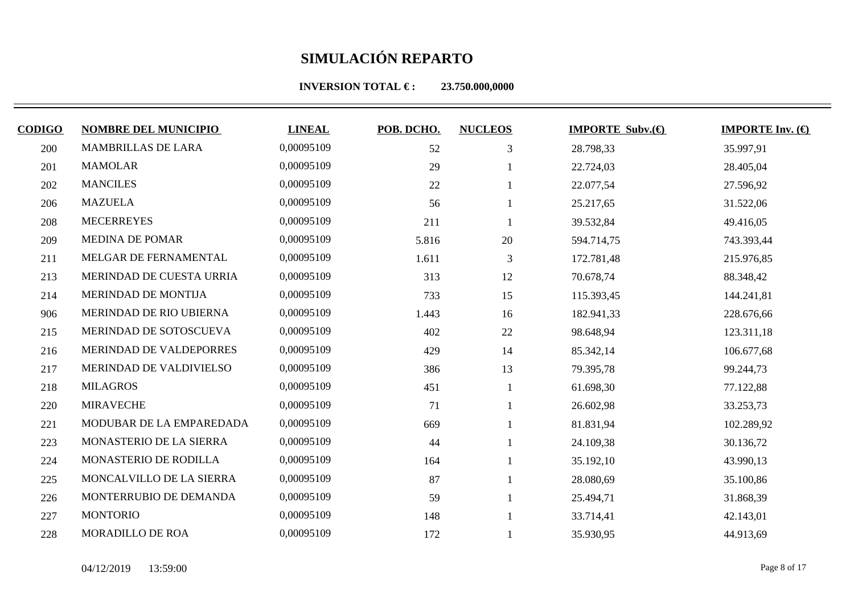| <b>CODIGO</b> | <b>NOMBRE DEL MUNICIPIO</b> | <b>LINEAL</b> | POB. DCHO. | <b>NUCLEOS</b> | <b>IMPORTE Subv. <math>\bigoplus</math></b> | <b>IMPORTE Inv.</b> $(\bigoplus$ |
|---------------|-----------------------------|---------------|------------|----------------|---------------------------------------------|----------------------------------|
| 200           | MAMBRILLAS DE LARA          | 0,00095109    | 52         | 3              | 28.798,33                                   | 35.997,91                        |
| 201           | <b>MAMOLAR</b>              | 0,00095109    | 29         |                | 22.724,03                                   | 28.405,04                        |
| 202           | <b>MANCILES</b>             | 0,00095109    | 22         |                | 22.077,54                                   | 27.596,92                        |
| 206           | <b>MAZUELA</b>              | 0,00095109    | 56         |                | 25.217,65                                   | 31.522,06                        |
| 208           | <b>MECERREYES</b>           | 0,00095109    | 211        |                | 39.532,84                                   | 49.416,05                        |
| 209           | <b>MEDINA DE POMAR</b>      | 0,00095109    | 5.816      | 20             | 594.714,75                                  | 743.393,44                       |
| 211           | MELGAR DE FERNAMENTAL       | 0,00095109    | 1.611      | 3              | 172.781,48                                  | 215.976,85                       |
| 213           | MERINDAD DE CUESTA URRIA    | 0,00095109    | 313        | 12             | 70.678,74                                   | 88.348,42                        |
| 214           | MERINDAD DE MONTIJA         | 0,00095109    | 733        | 15             | 115.393,45                                  | 144.241,81                       |
| 906           | MERINDAD DE RIO UBIERNA     | 0,00095109    | 1.443      | 16             | 182.941,33                                  | 228.676,66                       |
| 215           | MERINDAD DE SOTOSCUEVA      | 0,00095109    | 402        | 22             | 98.648,94                                   | 123.311,18                       |
| 216           | MERINDAD DE VALDEPORRES     | 0,00095109    | 429        | 14             | 85.342,14                                   | 106.677,68                       |
| 217           | MERINDAD DE VALDIVIELSO     | 0,00095109    | 386        | 13             | 79.395,78                                   | 99.244,73                        |
| 218           | <b>MILAGROS</b>             | 0,00095109    | 451        |                | 61.698,30                                   | 77.122,88                        |
| 220           | <b>MIRAVECHE</b>            | 0,00095109    | 71         |                | 26.602,98                                   | 33.253,73                        |
| 221           | MODUBAR DE LA EMPAREDADA    | 0,00095109    | 669        |                | 81.831,94                                   | 102.289,92                       |
| 223           | MONASTERIO DE LA SIERRA     | 0,00095109    | 44         |                | 24.109,38                                   | 30.136,72                        |
| 224           | MONASTERIO DE RODILLA       | 0,00095109    | 164        |                | 35.192,10                                   | 43.990,13                        |
| 225           | MONCALVILLO DE LA SIERRA    | 0,00095109    | 87         |                | 28.080,69                                   | 35.100,86                        |
| 226           | MONTERRUBIO DE DEMANDA      | 0,00095109    | 59         |                | 25.494,71                                   | 31.868,39                        |
| 227           | <b>MONTORIO</b>             | 0,00095109    | 148        |                | 33.714,41                                   | 42.143,01                        |
| 228           | <b>MORADILLO DE ROA</b>     | 0,00095109    | 172        |                | 35.930,95                                   | 44.913,69                        |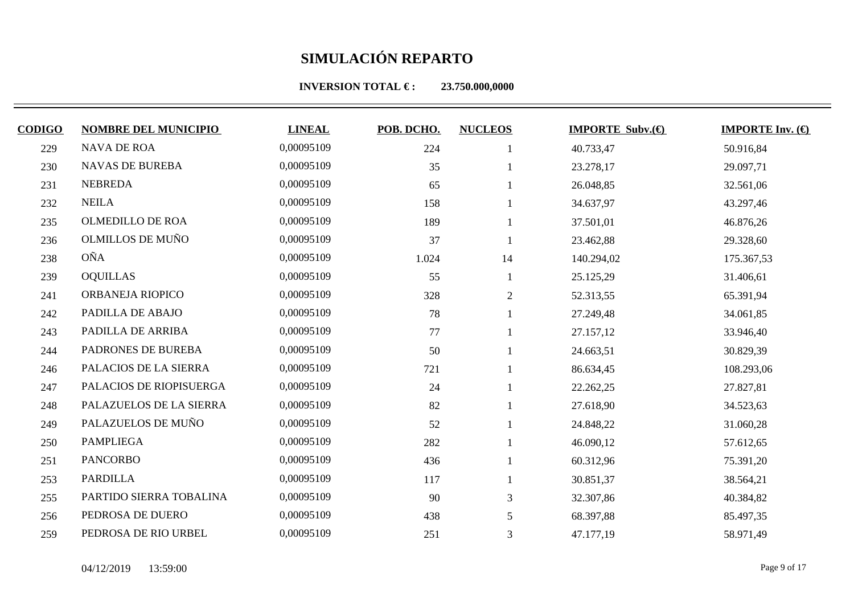**INVERSION TOTAL €: 23.750.000,0000** 

| <b>CODIGO</b> | <b>NOMBRE DEL MUNICIPIO</b> | <b>LINEAL</b> | POB. DCHO. | <b>NUCLEOS</b> | <b>IMPORTE Subv. <math>\bigoplus</math></b> | <b>IMPORTE Inv.</b> $(\theta)$ |
|---------------|-----------------------------|---------------|------------|----------------|---------------------------------------------|--------------------------------|
| 229           | <b>NAVA DE ROA</b>          | 0,00095109    | 224        |                | 40.733,47                                   | 50.916,84                      |
| 230           | <b>NAVAS DE BUREBA</b>      | 0,00095109    | 35         |                | 23.278,17                                   | 29.097,71                      |
| 231           | <b>NEBREDA</b>              | 0,00095109    | 65         |                | 26.048,85                                   | 32.561,06                      |
| 232           | <b>NEILA</b>                | 0,00095109    | 158        |                | 34.637,97                                   | 43.297,46                      |
| 235           | OLMEDILLO DE ROA            | 0,00095109    | 189        |                | 37.501,01                                   | 46.876,26                      |
| 236           | <b>OLMILLOS DE MUÑO</b>     | 0,00095109    | 37         |                | 23.462,88                                   | 29.328,60                      |
| 238           | <b>OÑA</b>                  | 0,00095109    | 1.024      | 14             | 140.294,02                                  | 175.367,53                     |
| 239           | <b>OQUILLAS</b>             | 0,00095109    | 55         |                | 25.125,29                                   | 31.406,61                      |
| 241           | ORBANEJA RIOPICO            | 0,00095109    | 328        | $\overline{2}$ | 52.313,55                                   | 65.391,94                      |
| 242           | PADILLA DE ABAJO            | 0,00095109    | 78         |                | 27.249,48                                   | 34.061,85                      |
| 243           | PADILLA DE ARRIBA           | 0,00095109    | 77         |                | 27.157,12                                   | 33.946,40                      |
| 244           | PADRONES DE BUREBA          | 0,00095109    | 50         |                | 24.663,51                                   | 30.829,39                      |
| 246           | PALACIOS DE LA SIERRA       | 0,00095109    | 721        |                | 86.634,45                                   | 108.293,06                     |
| 247           | PALACIOS DE RIOPISUERGA     | 0,00095109    | 24         |                | 22.262,25                                   | 27.827,81                      |
| 248           | PALAZUELOS DE LA SIERRA     | 0,00095109    | 82         |                | 27.618,90                                   | 34.523,63                      |
| 249           | PALAZUELOS DE MUÑO          | 0,00095109    | 52         |                | 24.848,22                                   | 31.060,28                      |
| 250           | <b>PAMPLIEGA</b>            | 0,00095109    | 282        |                | 46.090,12                                   | 57.612,65                      |
|               |                             |               |            |                |                                             |                                |

251 PANCORBO 0,00095109 436 1 60.312,96 75.391,20 253 PARDILLA 0,00095109 117 1 30.851,37 38.564,21

255 PARTIDO SIERRA TOBALINA 0,00095109 90 3 32.307,86 40.384,82 256 PEDROSA DE DUERO 0,00095109 438 5 68.397,88 85.497,35 259 PEDROSA DE RIO URBEL 0,00095109 251 3 47.177,19 58.971,49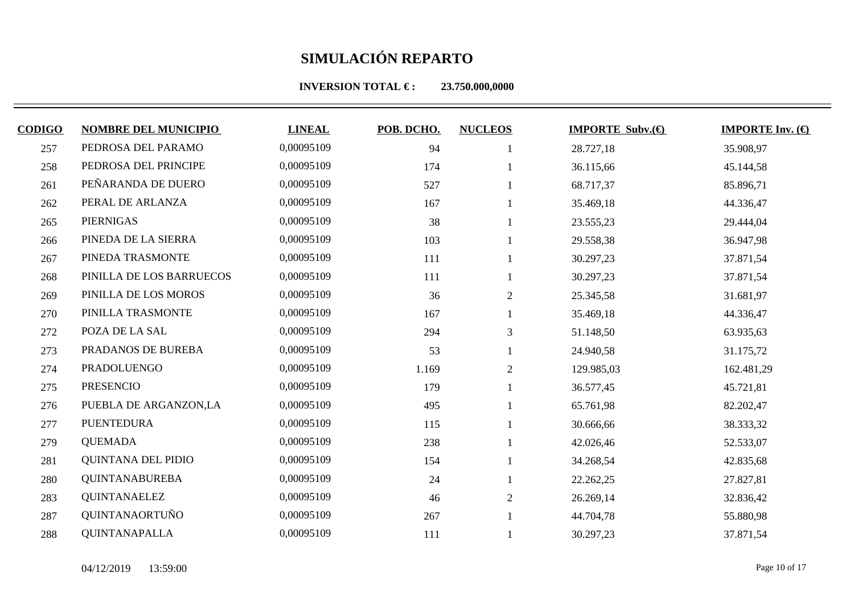**INVERSION TOTAL €: 23.750.000,0000** 

| <b>CODIGO</b> | <b>NOMBRE DEL MUNICIPIO</b> | <b>LINEAL</b> | POB. DCHO. | <b>NUCLEOS</b> | <b>IMPORTE Subv.</b> $(\bigoplus$ | <b>IMPORTE Inv.</b> $(\bigoplus$ |
|---------------|-----------------------------|---------------|------------|----------------|-----------------------------------|----------------------------------|
| 257           | PEDROSA DEL PARAMO          | 0,00095109    | 94         |                | 28.727,18                         | 35.908,97                        |
| 258           | PEDROSA DEL PRINCIPE        | 0,00095109    | 174        |                | 36.115,66                         | 45.144,58                        |
| 261           | PEÑARANDA DE DUERO          | 0,00095109    | 527        |                | 68.717,37                         | 85.896,71                        |
| 262           | PERAL DE ARLANZA            | 0,00095109    | 167        |                | 35.469,18                         | 44.336,47                        |
| 265           | <b>PIERNIGAS</b>            | 0,00095109    | 38         |                | 23.555,23                         | 29.444,04                        |
| 266           | PINEDA DE LA SIERRA         | 0,00095109    | 103        |                | 29.558,38                         | 36.947,98                        |
| 267           | PINEDA TRASMONTE            | 0,00095109    | 111        |                | 30.297,23                         | 37.871,54                        |
| 268           | PINILLA DE LOS BARRUECOS    | 0,00095109    | 111        |                | 30.297,23                         | 37.871,54                        |
| 269           | PINILLA DE LOS MOROS        | 0,00095109    | 36         | $\overline{2}$ | 25.345,58                         | 31.681,97                        |
| 270           | PINILLA TRASMONTE           | 0,00095109    | 167        |                | 35.469,18                         | 44.336,47                        |
| 272           | POZA DE LA SAL              | 0,00095109    | 294        | 3              | 51.148,50                         | 63.935,63                        |
| 273           | PRADANOS DE BUREBA          | 0,00095109    | 53         |                | 24.940,58                         | 31.175,72                        |
| 274           | PRADOLUENGO                 | 0,00095109    | 1.169      | 2              | 129.985,03                        | 162.481,29                       |
| 275           | <b>PRESENCIO</b>            | 0,00095109    | 179        |                | 36.577,45                         | 45.721,81                        |
| 276           | PUEBLA DE ARGANZON,LA       | 0,00095109    | 495        |                | 65.761,98                         | 82.202,47                        |
| 277           | <b>PUENTEDURA</b>           | 0,00095109    | 115        |                | 30.666,66                         | 38.333,32                        |
| 279           | <b>QUEMADA</b>              | 0,00095109    | 238        |                | 42.026,46                         | 52.533,07                        |
| 281           | <b>QUINTANA DEL PIDIO</b>   | 0,00095109    | 154        |                | 34.268,54                         | 42.835,68                        |
| 280           | <b>QUINTANABUREBA</b>       | 0,00095109    | 24         |                | 22.262,25                         | 27.827,81                        |
| 283           | <b>QUINTANAELEZ</b>         | 0,00095109    | 46         | 2              | 26.269,14                         | 32.836,42                        |

287 QUINTANAORTUÑO 0,00095109 267 1 44.704,78 55.880,98 288 QUINTANAPALLA 0,00095109 111 1 30.297,23 37.871,54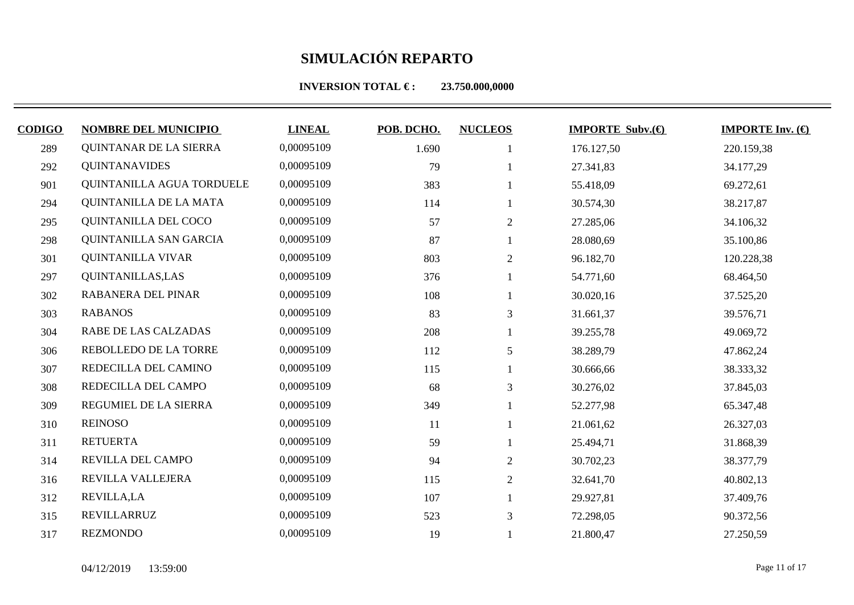| <b>CODIGO</b> | <b>NOMBRE DEL MUNICIPIO</b>   | <b>LINEAL</b> | POB. DCHO. | <b>NUCLEOS</b> | <b>IMPORTE Subv. <math>\bigoplus</math></b> | <b>IMPORTE Inv.</b> $(\bigoplus$ |
|---------------|-------------------------------|---------------|------------|----------------|---------------------------------------------|----------------------------------|
| 289           | QUINTANAR DE LA SIERRA        | 0,00095109    | 1.690      |                | 176.127,50                                  | 220.159,38                       |
| 292           | <b>QUINTANAVIDES</b>          | 0,00095109    | 79         |                | 27.341,83                                   | 34.177,29                        |
| 901           | QUINTANILLA AGUA TORDUELE     | 0,00095109    | 383        |                | 55.418,09                                   | 69.272,61                        |
| 294           | QUINTANILLA DE LA MATA        | 0,00095109    | 114        |                | 30.574,30                                   | 38.217,87                        |
| 295           | QUINTANILLA DEL COCO          | 0,00095109    | 57         | 2              | 27.285,06                                   | 34.106,32                        |
| 298           | <b>QUINTANILLA SAN GARCIA</b> | 0,00095109    | 87         |                | 28.080,69                                   | 35.100,86                        |
| 301           | <b>QUINTANILLA VIVAR</b>      | 0,00095109    | 803        | 2              | 96.182,70                                   | 120.228,38                       |
| 297           | <b>QUINTANILLAS, LAS</b>      | 0,00095109    | 376        |                | 54.771,60                                   | 68.464,50                        |
| 302           | RABANERA DEL PINAR            | 0,00095109    | 108        |                | 30.020,16                                   | 37.525,20                        |
| 303           | <b>RABANOS</b>                | 0,00095109    | 83         | 3              | 31.661,37                                   | 39.576,71                        |
| 304           | RABE DE LAS CALZADAS          | 0,00095109    | 208        |                | 39.255,78                                   | 49.069,72                        |
| 306           | REBOLLEDO DE LA TORRE         | 0,00095109    | 112        | 5              | 38.289,79                                   | 47.862,24                        |
| 307           | REDECILLA DEL CAMINO          | 0,00095109    | 115        |                | 30.666,66                                   | 38.333,32                        |
| 308           | REDECILLA DEL CAMPO           | 0,00095109    | 68         | $\mathfrak{Z}$ | 30.276,02                                   | 37.845,03                        |
| 309           | REGUMIEL DE LA SIERRA         | 0,00095109    | 349        |                | 52.277,98                                   | 65.347,48                        |
| 310           | <b>REINOSO</b>                | 0,00095109    | 11         |                | 21.061,62                                   | 26.327,03                        |
| 311           | <b>RETUERTA</b>               | 0,00095109    | 59         |                | 25.494,71                                   | 31.868,39                        |
| 314           | REVILLA DEL CAMPO             | 0,00095109    | 94         | $\overline{2}$ | 30.702,23                                   | 38.377,79                        |
| 316           | REVILLA VALLEJERA             | 0,00095109    | 115        | $\overline{2}$ | 32.641,70                                   | 40.802,13                        |
| 312           | <b>REVILLA,LA</b>             | 0,00095109    | 107        |                | 29.927,81                                   | 37.409,76                        |
| 315           | REVILLARRUZ                   | 0,00095109    | 523        | 3              | 72.298,05                                   | 90.372,56                        |
| 317           | <b>REZMONDO</b>               | 0,00095109    | 19         |                | 21.800,47                                   | 27.250,59                        |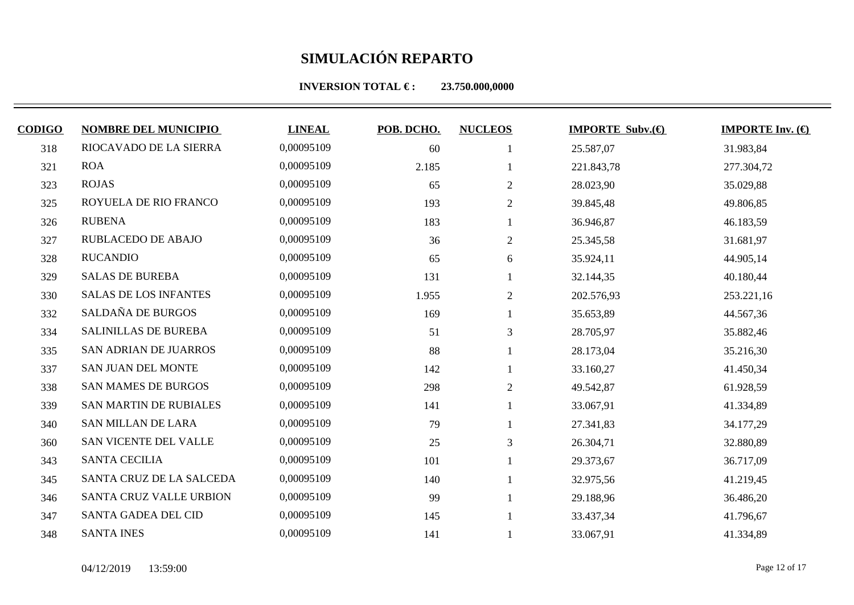| <b>CODIGO</b> | <b>NOMBRE DEL MUNICIPIO</b>  | <b>LINEAL</b> | POB. DCHO. | <b>NUCLEOS</b> | <b>IMPORTE Subv. <math>\bigoplus</math></b> | <b>IMPORTE Inv.</b> $(\bigoplus$ |
|---------------|------------------------------|---------------|------------|----------------|---------------------------------------------|----------------------------------|
| 318           | RIOCAVADO DE LA SIERRA       | 0,00095109    | 60         |                | 25.587,07                                   | 31.983,84                        |
| 321           | <b>ROA</b>                   | 0,00095109    | 2.185      |                | 221.843,78                                  | 277.304,72                       |
| 323           | <b>ROJAS</b>                 | 0,00095109    | 65         | 2              | 28.023,90                                   | 35.029,88                        |
| 325           | ROYUELA DE RIO FRANCO        | 0,00095109    | 193        | 2              | 39.845,48                                   | 49.806,85                        |
| 326           | <b>RUBENA</b>                | 0,00095109    | 183        |                | 36.946,87                                   | 46.183,59                        |
| 327           | <b>RUBLACEDO DE ABAJO</b>    | 0,00095109    | 36         | 2              | 25.345,58                                   | 31.681,97                        |
| 328           | <b>RUCANDIO</b>              | 0,00095109    | 65         | 6              | 35.924,11                                   | 44.905,14                        |
| 329           | <b>SALAS DE BUREBA</b>       | 0,00095109    | 131        |                | 32.144,35                                   | 40.180,44                        |
| 330           | <b>SALAS DE LOS INFANTES</b> | 0,00095109    | 1.955      | $\overline{2}$ | 202.576,93                                  | 253.221,16                       |
| 332           | SALDAÑA DE BURGOS            | 0,00095109    | 169        |                | 35.653,89                                   | 44.567,36                        |
| 334           | <b>SALINILLAS DE BUREBA</b>  | 0,00095109    | 51         | 3              | 28.705,97                                   | 35.882,46                        |
| 335           | SAN ADRIAN DE JUARROS        | 0,00095109    | 88         |                | 28.173,04                                   | 35.216,30                        |
| 337           | SAN JUAN DEL MONTE           | 0,00095109    | 142        |                | 33.160,27                                   | 41.450,34                        |
| 338           | <b>SAN MAMES DE BURGOS</b>   | 0,00095109    | 298        | $\overline{2}$ | 49.542,87                                   | 61.928,59                        |
| 339           | SAN MARTIN DE RUBIALES       | 0,00095109    | 141        |                | 33.067,91                                   | 41.334,89                        |
| 340           | <b>SAN MILLAN DE LARA</b>    | 0,00095109    | 79         |                | 27.341,83                                   | 34.177,29                        |
| 360           | SAN VICENTE DEL VALLE        | 0,00095109    | 25         | 3              | 26.304,71                                   | 32.880,89                        |
| 343           | <b>SANTA CECILIA</b>         | 0,00095109    | 101        |                | 29.373,67                                   | 36.717,09                        |
| 345           | SANTA CRUZ DE LA SALCEDA     | 0,00095109    | 140        |                | 32.975,56                                   | 41.219,45                        |
| 346           | SANTA CRUZ VALLE URBION      | 0,00095109    | 99         |                | 29.188,96                                   | 36.486,20                        |
| 347           | SANTA GADEA DEL CID          | 0,00095109    | 145        |                | 33.437,34                                   | 41.796,67                        |
| 348           | <b>SANTA INES</b>            | 0,00095109    | 141        |                | 33.067,91                                   | 41.334,89                        |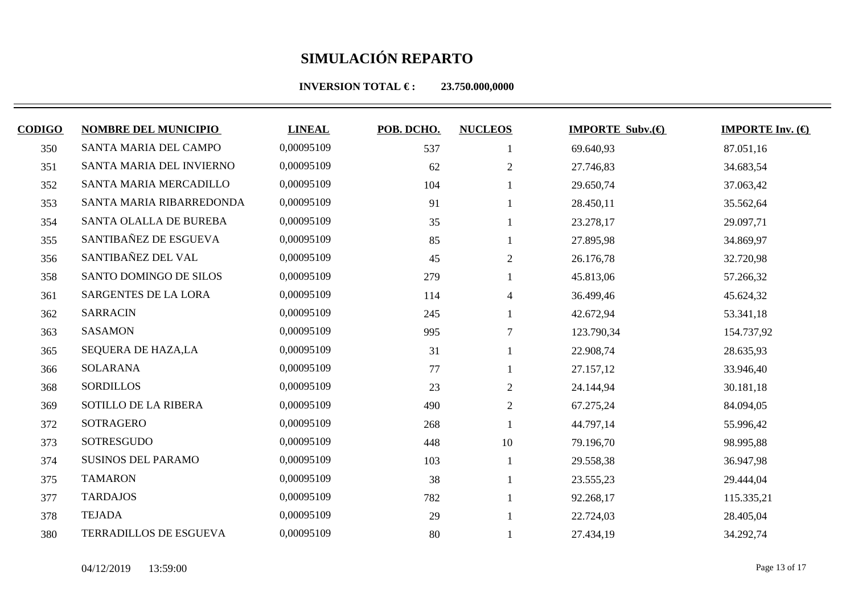| <b>CODIGO</b> | <b>NOMBRE DEL MUNICIPIO</b> | <b>LINEAL</b> | POB. DCHO. | <b>NUCLEOS</b> | <b>IMPORTE Subv. <math>\bigoplus</math></b> | <b>IMPORTE Inv.</b> $(\bigoplus$ |
|---------------|-----------------------------|---------------|------------|----------------|---------------------------------------------|----------------------------------|
| 350           | SANTA MARIA DEL CAMPO       | 0,00095109    | 537        |                | 69.640,93                                   | 87.051,16                        |
| 351           | SANTA MARIA DEL INVIERNO    | 0,00095109    | 62         | $\overline{2}$ | 27.746,83                                   | 34.683,54                        |
| 352           | SANTA MARIA MERCADILLO      | 0,00095109    | 104        |                | 29.650,74                                   | 37.063,42                        |
| 353           | SANTA MARIA RIBARREDONDA    | 0,00095109    | 91         |                | 28.450,11                                   | 35.562,64                        |
| 354           | SANTA OLALLA DE BUREBA      | 0,00095109    | 35         |                | 23.278,17                                   | 29.097,71                        |
| 355           | SANTIBAÑEZ DE ESGUEVA       | 0,00095109    | 85         |                | 27.895,98                                   | 34.869,97                        |
| 356           | SANTIBAÑEZ DEL VAL          | 0,00095109    | 45         | 2              | 26.176,78                                   | 32.720,98                        |
| 358           | SANTO DOMINGO DE SILOS      | 0,00095109    | 279        |                | 45.813,06                                   | 57.266,32                        |
| 361           | <b>SARGENTES DE LA LORA</b> | 0,00095109    | 114        | $\overline{4}$ | 36.499,46                                   | 45.624,32                        |
| 362           | <b>SARRACIN</b>             | 0,00095109    | 245        |                | 42.672,94                                   | 53.341,18                        |
| 363           | <b>SASAMON</b>              | 0,00095109    | 995        | $\overline{7}$ | 123.790,34                                  | 154.737,92                       |
| 365           | SEQUERA DE HAZA,LA          | 0,00095109    | 31         |                | 22.908,74                                   | 28.635,93                        |
| 366           | <b>SOLARANA</b>             | 0,00095109    | 77         |                | 27.157,12                                   | 33.946,40                        |
| 368           | <b>SORDILLOS</b>            | 0,00095109    | 23         | $2\,$          | 24.144,94                                   | 30.181,18                        |
| 369           | SOTILLO DE LA RIBERA        | 0,00095109    | 490        | $\overline{2}$ | 67.275,24                                   | 84.094,05                        |
| 372           | SOTRAGERO                   | 0,00095109    | 268        |                | 44.797,14                                   | 55.996,42                        |
| 373           | SOTRESGUDO                  | 0,00095109    | 448        | 10             | 79.196,70                                   | 98.995,88                        |
| 374           | <b>SUSINOS DEL PARAMO</b>   | 0,00095109    | 103        |                | 29.558,38                                   | 36.947,98                        |
| 375           | <b>TAMARON</b>              | 0,00095109    | 38         |                | 23.555,23                                   | 29.444,04                        |
| 377           | <b>TARDAJOS</b>             | 0,00095109    | 782        |                | 92.268,17                                   | 115.335,21                       |
| 378           | <b>TEJADA</b>               | 0,00095109    | 29         |                | 22.724,03                                   | 28.405,04                        |
| 380           | TERRADILLOS DE ESGUEVA      | 0,00095109    | 80         |                | 27.434,19                                   | 34.292,74                        |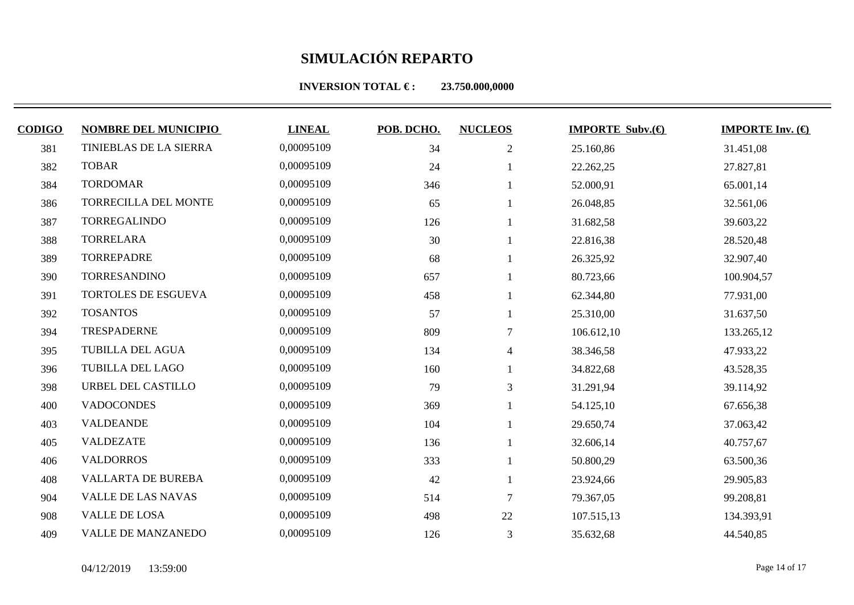| <b>CODIGO</b> | <b>NOMBRE DEL MUNICIPIO</b>   | <b>LINEAL</b> | POB. DCHO. | <b>NUCLEOS</b> | <b>IMPORTE Subv.</b> $(\theta)$ | <b>IMPORTE Inv.</b> $(\bigoplus$ |
|---------------|-------------------------------|---------------|------------|----------------|---------------------------------|----------------------------------|
| 381           | <b>TINIEBLAS DE LA SIERRA</b> | 0,00095109    | 34         | $\sqrt{2}$     | 25.160,86                       | 31.451,08                        |
| 382           | <b>TOBAR</b>                  | 0,00095109    | 24         |                | 22.262,25                       | 27.827,81                        |
| 384           | <b>TORDOMAR</b>               | 0,00095109    | 346        |                | 52.000,91                       | 65.001,14                        |
| 386           | TORRECILLA DEL MONTE          | 0,00095109    | 65         |                | 26.048,85                       | 32.561,06                        |
| 387           | TORREGALINDO                  | 0,00095109    | 126        |                | 31.682,58                       | 39.603,22                        |
| 388           | <b>TORRELARA</b>              | 0,00095109    | 30         |                | 22.816,38                       | 28.520,48                        |
| 389           | <b>TORREPADRE</b>             | 0,00095109    | 68         |                | 26.325,92                       | 32.907,40                        |
| 390           | TORRESANDINO                  | 0,00095109    | 657        |                | 80.723,66                       | 100.904,57                       |
| 391           | TORTOLES DE ESGUEVA           | 0,00095109    | 458        |                | 62.344,80                       | 77.931,00                        |
| 392           | <b>TOSANTOS</b>               | 0,00095109    | 57         |                | 25.310,00                       | 31.637,50                        |
| 394           | <b>TRESPADERNE</b>            | 0,00095109    | 809        | 7              | 106.612,10                      | 133.265,12                       |
| 395           | TUBILLA DEL AGUA              | 0,00095109    | 134        | 4              | 38.346,58                       | 47.933,22                        |
| 396           | <b>TUBILLA DEL LAGO</b>       | 0,00095109    | 160        |                | 34.822,68                       | 43.528,35                        |
| 398           | URBEL DEL CASTILLO            | 0,00095109    | 79         | $\mathfrak{Z}$ | 31.291,94                       | 39.114,92                        |
| 400           | <b>VADOCONDES</b>             | 0,00095109    | 369        |                | 54.125,10                       | 67.656,38                        |
| 403           | <b>VALDEANDE</b>              | 0,00095109    | 104        |                | 29.650,74                       | 37.063,42                        |
| 405           | <b>VALDEZATE</b>              | 0,00095109    | 136        |                | 32.606,14                       | 40.757,67                        |
| 406           | <b>VALDORROS</b>              | 0,00095109    | 333        |                | 50.800,29                       | 63.500,36                        |
| 408           | <b>VALLARTA DE BUREBA</b>     | 0,00095109    | 42         |                | 23.924,66                       | 29.905,83                        |
| 904           | <b>VALLE DE LAS NAVAS</b>     | 0,00095109    | 514        | $\tau$         | 79.367,05                       | 99.208,81                        |
| 908           | VALLE DE LOSA                 | 0,00095109    | 498        | 22             | 107.515,13                      | 134.393,91                       |
| 409           | <b>VALLE DE MANZANEDO</b>     | 0,00095109    | 126        | 3              | 35.632,68                       | 44.540,85                        |
|               |                               |               |            |                |                                 |                                  |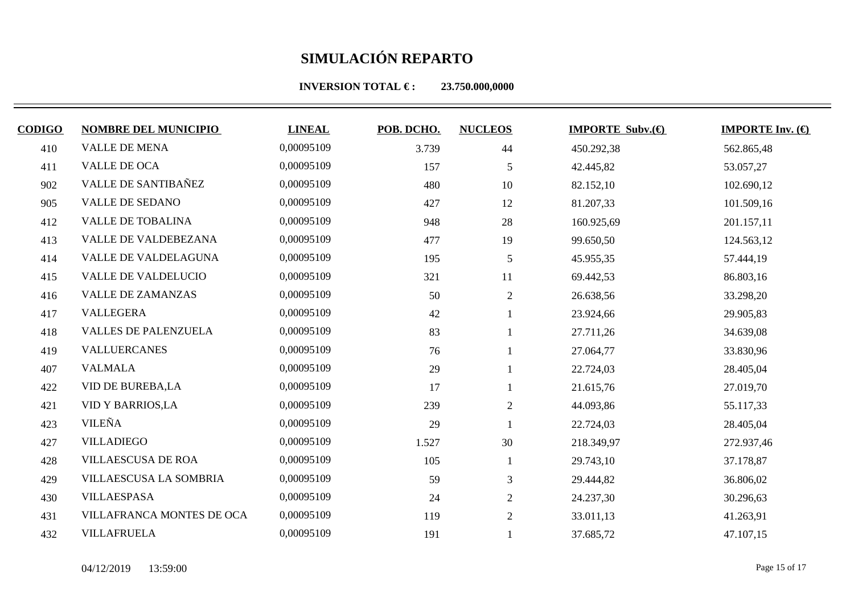| <b>CODIGO</b> | <b>NOMBRE DEL MUNICIPIO</b> | <b>LINEAL</b> | POB. DCHO. | <b>NUCLEOS</b> | <b>IMPORTE Subv.</b> $\bigoplus$ | <b>IMPORTE Inv.</b> $(\bigoplus$ |
|---------------|-----------------------------|---------------|------------|----------------|----------------------------------|----------------------------------|
| 410           | <b>VALLE DE MENA</b>        | 0,00095109    | 3.739      | 44             | 450.292,38                       | 562.865,48                       |
| 411           | VALLE DE OCA                | 0,00095109    | 157        | 5              | 42.445,82                        | 53.057,27                        |
| 902           | <b>VALLE DE SANTIBAÑEZ</b>  | 0,00095109    | 480        | 10             | 82.152,10                        | 102.690,12                       |
| 905           | VALLE DE SEDANO             | 0,00095109    | 427        | 12             | 81.207,33                        | 101.509,16                       |
| 412           | <b>VALLE DE TOBALINA</b>    | 0,00095109    | 948        | 28             | 160.925,69                       | 201.157,11                       |
| 413           | VALLE DE VALDEBEZANA        | 0,00095109    | 477        | 19             | 99.650,50                        | 124.563,12                       |
| 414           | VALLE DE VALDELAGUNA        | 0,00095109    | 195        | 5              | 45.955,35                        | 57.444,19                        |
| 415           | <b>VALLE DE VALDELUCIO</b>  | 0,00095109    | 321        | 11             | 69.442,53                        | 86.803,16                        |
| 416           | <b>VALLE DE ZAMANZAS</b>    | 0,00095109    | 50         | $\overline{2}$ | 26.638,56                        | 33.298,20                        |
| 417           | <b>VALLEGERA</b>            | 0,00095109    | 42         |                | 23.924,66                        | 29.905,83                        |
| 418           | <b>VALLES DE PALENZUELA</b> | 0,00095109    | 83         |                | 27.711,26                        | 34.639,08                        |
| 419           | <b>VALLUERCANES</b>         | 0,00095109    | 76         |                | 27.064,77                        | 33.830,96                        |
| 407           | <b>VALMALA</b>              | 0,00095109    | 29         |                | 22.724,03                        | 28.405,04                        |
| 422           | VID DE BUREBA,LA            | 0,00095109    | 17         |                | 21.615,76                        | 27.019,70                        |
| 421           | <b>VID Y BARRIOS, LA</b>    | 0,00095109    | 239        | $\mathfrak{2}$ | 44.093,86                        | 55.117,33                        |
| 423           | <b>VILEÑA</b>               | 0,00095109    | 29         |                | 22.724,03                        | 28.405,04                        |
| 427           | <b>VILLADIEGO</b>           | 0,00095109    | 1.527      | 30             | 218.349,97                       | 272.937,46                       |
| 428           | <b>VILLAESCUSA DE ROA</b>   | 0,00095109    | 105        |                | 29.743,10                        | 37.178,87                        |
| 429           | VILLAESCUSA LA SOMBRIA      | 0,00095109    | 59         | 3              | 29.444,82                        | 36.806,02                        |
| 430           | <b>VILLAESPASA</b>          | 0,00095109    | 24         | $\overline{2}$ | 24.237,30                        | 30.296,63                        |
| 431           | VILLAFRANCA MONTES DE OCA   | 0,00095109    | 119        | 2              | 33.011,13                        | 41.263,91                        |
| 432           | <b>VILLAFRUELA</b>          | 0,00095109    | 191        |                | 37.685,72                        | 47.107,15                        |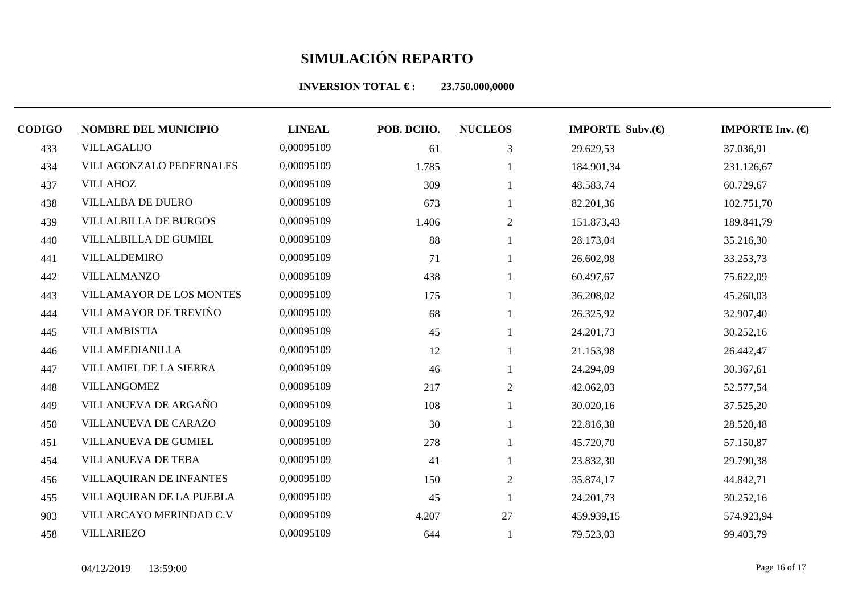**INVERSION TOTAL €: 23.750.000,0000** 

| <b>CODIGO</b> | <b>NOMBRE DEL MUNICIPIO</b>     | <b>LINEAL</b> | POB. DCHO. | <b>NUCLEOS</b> | <b>IMPORTE Subv. <math>\bigoplus</math></b> | <b>IMPORTE Inv.</b> $(\bigoplus$ |
|---------------|---------------------------------|---------------|------------|----------------|---------------------------------------------|----------------------------------|
| 433           | <b>VILLAGALIJO</b>              | 0,00095109    | 61         | 3              | 29.629,53                                   | 37.036,91                        |
| 434           | VILLAGONZALO PEDERNALES         | 0,00095109    | 1.785      |                | 184.901,34                                  | 231.126,67                       |
| 437           | <b>VILLAHOZ</b>                 | 0,00095109    | 309        |                | 48.583,74                                   | 60.729,67                        |
| 438           | <b>VILLALBA DE DUERO</b>        | 0,00095109    | 673        |                | 82.201,36                                   | 102.751,70                       |
| 439           | <b>VILLALBILLA DE BURGOS</b>    | 0,00095109    | 1.406      | $\overline{2}$ | 151.873,43                                  | 189.841,79                       |
| 440           | <b>VILLALBILLA DE GUMIEL</b>    | 0,00095109    | 88         |                | 28.173,04                                   | 35.216,30                        |
| 441           | VILLALDEMIRO                    | 0,00095109    | 71         |                | 26.602,98                                   | 33.253,73                        |
| 442           | VILLALMANZO                     | 0,00095109    | 438        |                | 60.497,67                                   | 75.622,09                        |
| 443           | <b>VILLAMAYOR DE LOS MONTES</b> | 0,00095109    | 175        |                | 36.208,02                                   | 45.260,03                        |
| 444           | VILLAMAYOR DE TREVIÑO           | 0,00095109    | 68         |                | 26.325,92                                   | 32.907,40                        |
| 445           | <b>VILLAMBISTIA</b>             | 0,00095109    | 45         |                | 24.201,73                                   | 30.252,16                        |
| 446           | VILLAMEDIANILLA                 | 0,00095109    | 12         |                | 21.153,98                                   | 26.442,47                        |
| 447           | VILLAMIEL DE LA SIERRA          | 0,00095109    | 46         |                | 24.294,09                                   | 30.367,61                        |
| 448           | <b>VILLANGOMEZ</b>              | 0,00095109    | 217        | 2              | 42.062,03                                   | 52.577,54                        |
| 449           | VILLANUEVA DE ARGAÑO            | 0,00095109    | 108        |                | 30.020,16                                   | 37.525,20                        |
| 450           | VILLANUEVA DE CARAZO            | 0,00095109    | 30         |                | 22.816,38                                   | 28.520,48                        |
| 451           | VILLANUEVA DE GUMIEL            | 0,00095109    | 278        |                | 45.720,70                                   | 57.150,87                        |
| 454           | <b>VILLANUEVA DE TEBA</b>       | 0,00095109    | 41         |                | 23.832,30                                   | 29.790,38                        |
| 456           | VILLAQUIRAN DE INFANTES         | 0,00095109    | 150        | $\mathfrak{2}$ | 35.874,17                                   | 44.842,71                        |
| 455           | VILLAQUIRAN DE LA PUEBLA        | 0,00095109    | 45         |                | 24.201,73                                   | 30.252,16                        |
| 903           | VILLARCAYO MERINDAD C.V         | 0,00095109    | 4.207      | 27             | 459.939,15                                  | 574.923,94                       |

VILLARIEZO 0,00095109 644 1 79.523,03 99.403,79